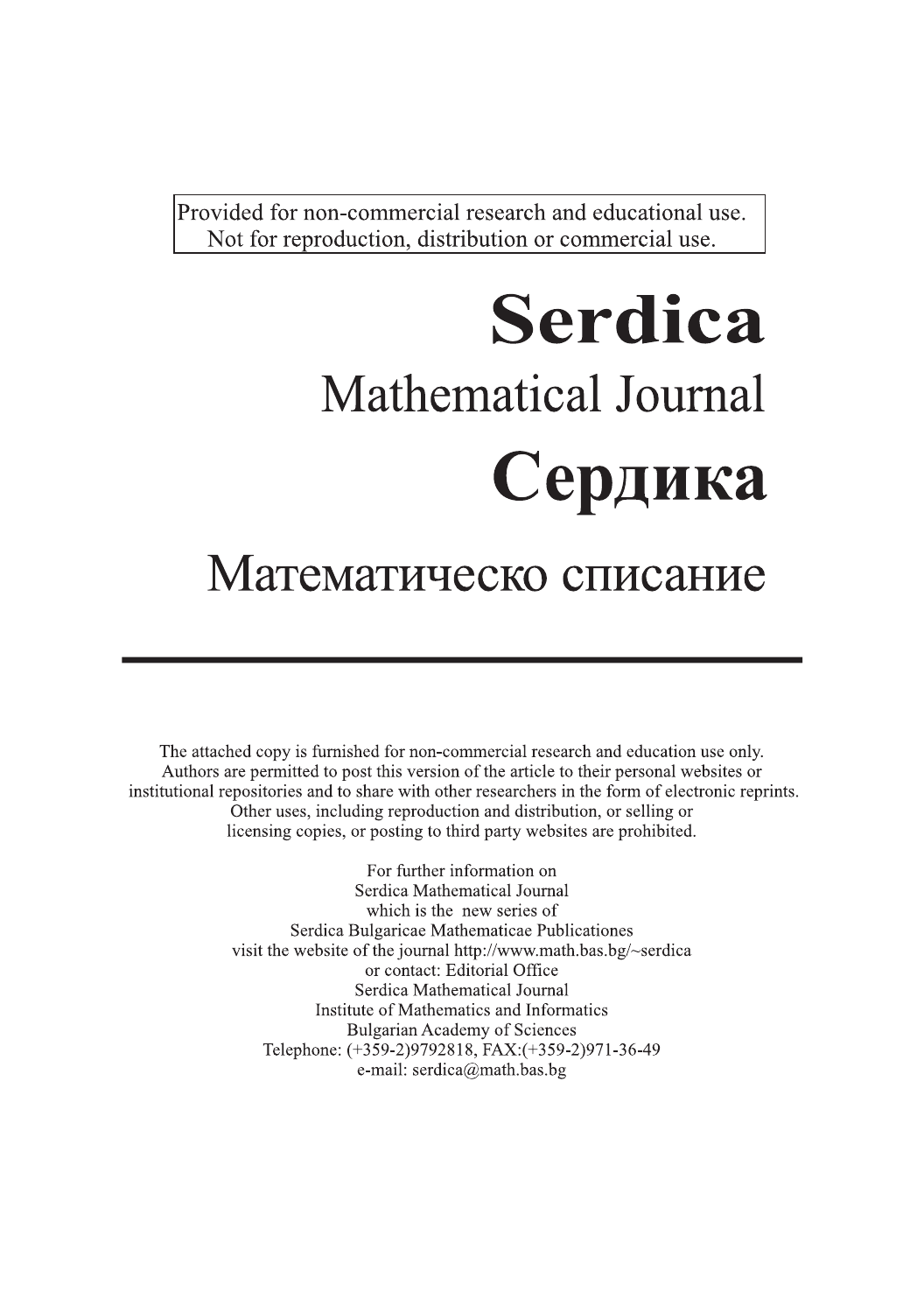Provided for non-commercial research and educational use. Not for reproduction, distribution or commercial use.

# **Serdica Mathematical Journal** Сердика

## Математическо списание

The attached copy is furnished for non-commercial research and education use only. Authors are permitted to post this version of the article to their personal websites or institutional repositories and to share with other researchers in the form of electronic reprints. Other uses, including reproduction and distribution, or selling or licensing copies, or posting to third party websites are prohibited.

> For further information on Serdica Mathematical Journal which is the new series of Serdica Bulgaricae Mathematicae Publicationes visit the website of the journal http://www.math.bas.bg/~serdica or contact: Editorial Office Serdica Mathematical Journal Institute of Mathematics and Informatics **Bulgarian Academy of Sciences** Telephone: (+359-2)9792818, FAX:(+359-2)971-36-49 e-mail: serdica@math.bas.bg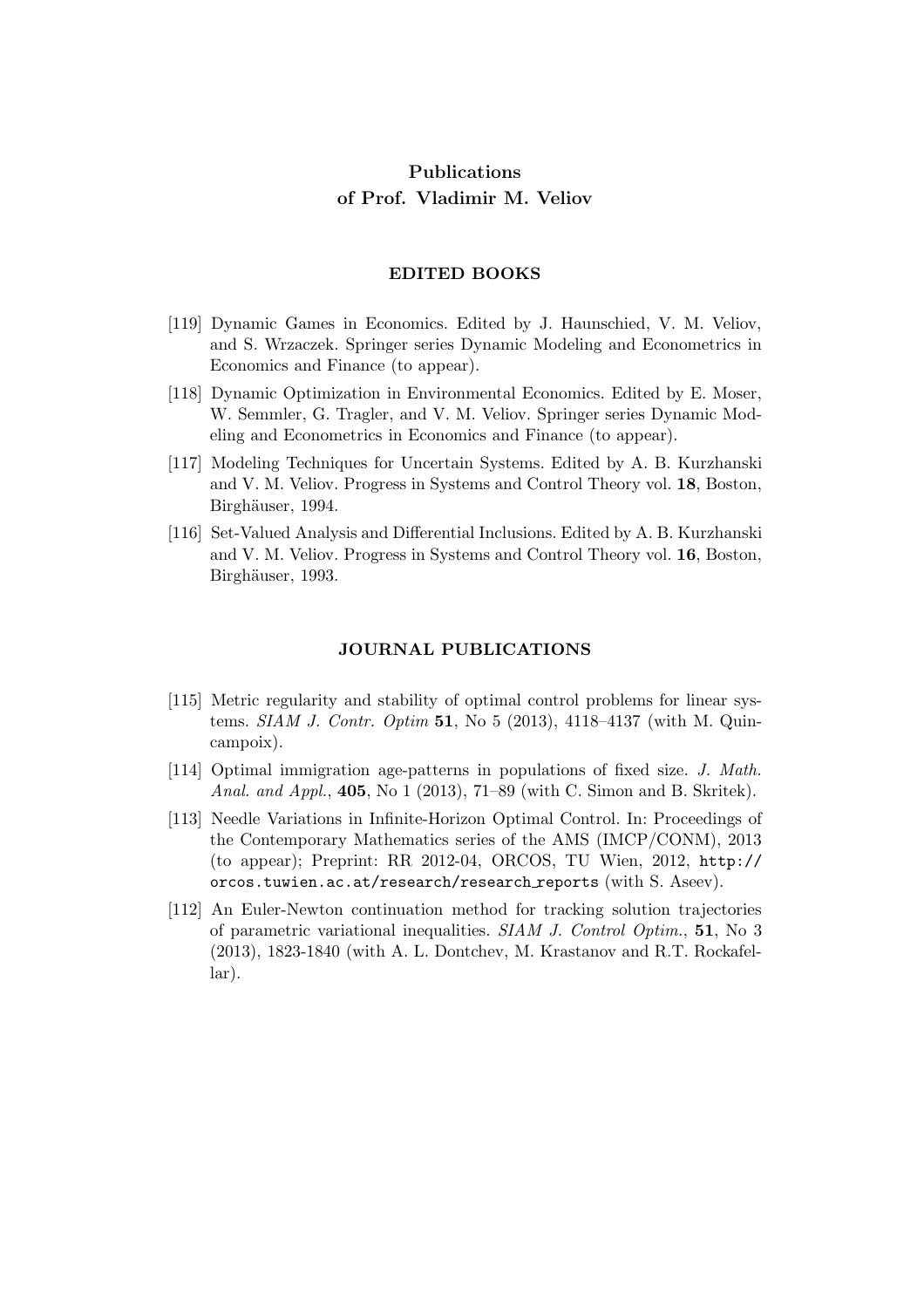### Publications of Prof. Vladimir M. Veliov

#### EDITED BOOKS

- [119] Dynamic Games in Economics. Edited by J. Haunschied, V. M. Veliov, and S. Wrzaczek. Springer series Dynamic Modeling and Econometrics in Economics and Finance (to appear).
- [118] Dynamic Optimization in Environmental Economics. Edited by E. Moser, W. Semmler, G. Tragler, and V. M. Veliov. Springer series Dynamic Modeling and Econometrics in Economics and Finance (to appear).
- [117] Modeling Techniques for Uncertain Systems. Edited by A. B. Kurzhanski and V. M. Veliov. Progress in Systems and Control Theory vol. 18, Boston, Birghäuser, 1994.
- [116] Set-Valued Analysis and Differential Inclusions. Edited by A. B. Kurzhanski and V. M. Veliov. Progress in Systems and Control Theory vol. 16, Boston, Birghäuser, 1993.

#### JOURNAL PUBLICATIONS

- [115] Metric regularity and stability of optimal control problems for linear systems. *SIAM J. Contr. Optim* 51, No 5 (2013), 4118–4137 (with M. Quincampoix).
- [114] Optimal immigration age-patterns in populations of fixed size. J. Math. Anal. and Appl., 405, No 1 (2013), 71–89 (with C. Simon and B. Skritek).
- [113] Needle Variations in Infinite-Horizon Optimal Control. In: Proceedings of the Contemporary Mathematics series of the AMS (IMCP/CONM), 2013 (to appear); Preprint: RR 2012-04, ORCOS, TU Wien, 2012, http:// orcos.tuwien.ac.at/research/research reports (with S. Aseev).
- [112] An Euler-Newton continuation method for tracking solution trajectories of parametric variational inequalities. SIAM J. Control Optim., 51, No 3 (2013), 1823-1840 (with A. L. Dontchev, M. Krastanov and R.T. Rockafellar).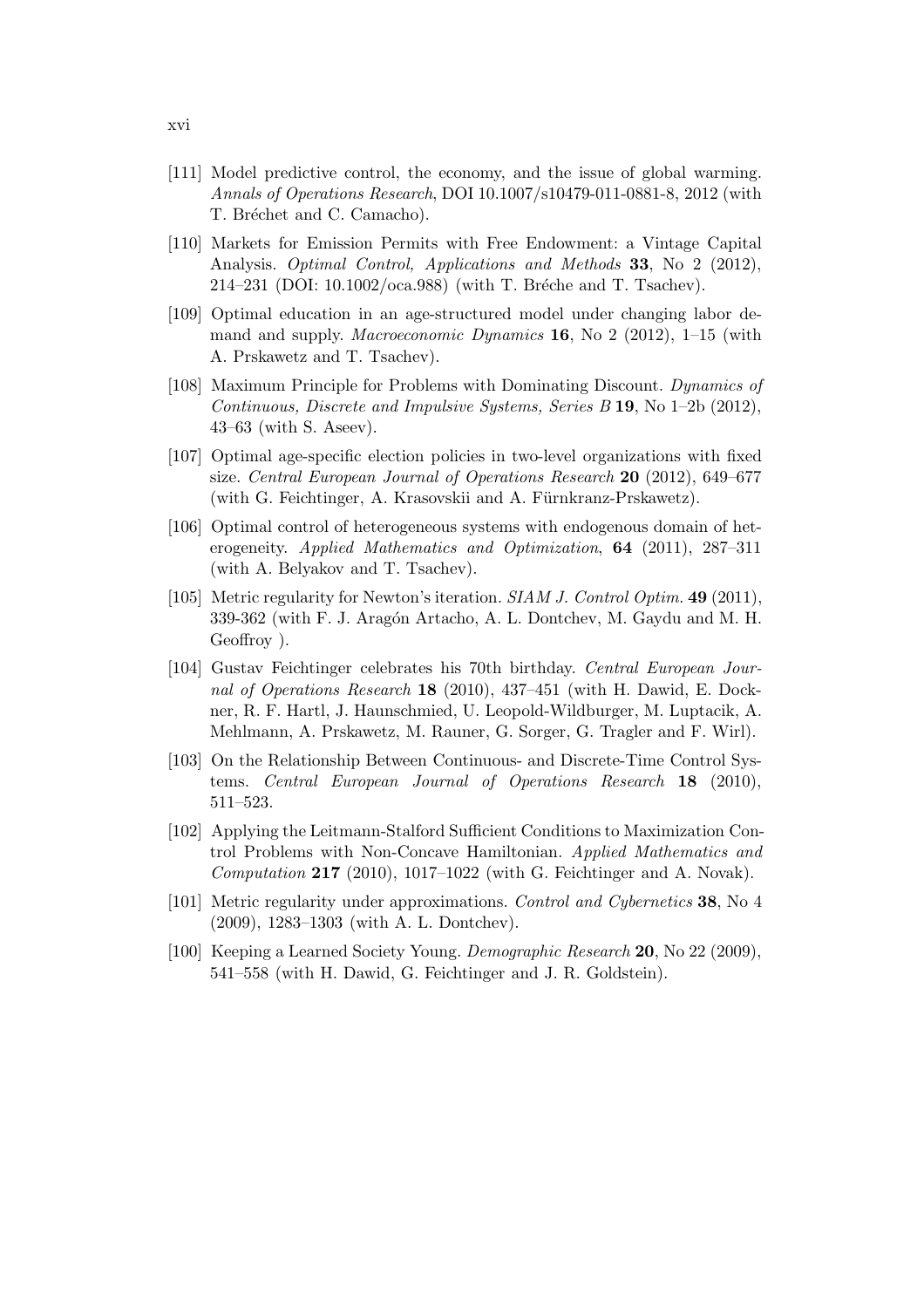- [111] Model predictive control, the economy, and the issue of global warming. Annals of Operations Research, DOI 10.1007/s10479-011-0881-8, 2012 (with T. Bréchet and C. Camacho).
- [110] Markets for Emission Permits with Free Endowment: a Vintage Capital Analysis. *Optimal Control, Applications and Methods* **33**, No 2 (2012), 214–231 (DOI:  $10.1002/\text{oca}.988$ ) (with T. Bréche and T. Tsachev).
- [109] Optimal education in an age-structured model under changing labor demand and supply. *Macroeconomic Dynamics* **16**, No 2 (2012), 1–15 (with A. Prskawetz and T. Tsachev).
- [108] Maximum Principle for Problems with Dominating Discount. Dynamics of Continuous, Discrete and Impulsive Systems, Series  $B$  19, No 1–2b (2012), 43–63 (with S. Aseev).
- [107] Optimal age-specific election policies in two-level organizations with fixed size. Central European Journal of Operations Research 20 (2012), 649–677 (with G. Feichtinger, A. Krasovskii and A. Fürnkranz-Prskawetz).
- [106] Optimal control of heterogeneous systems with endogenous domain of heterogeneity. Applied Mathematics and Optimization, 64 (2011), 287–311 (with A. Belyakov and T. Tsachev).
- [105] Metric regularity for Newton's iteration. SIAM J. Control Optim. 49 (2011), 339-362 (with F. J. Aragón Artacho, A. L. Dontchev, M. Gaydu and M. H. Geoffroy ).
- [104] Gustav Feichtinger celebrates his 70th birthday. Central European Journal of Operations Research 18 (2010), 437–451 (with H. Dawid, E. Dockner, R. F. Hartl, J. Haunschmied, U. Leopold-Wildburger, M. Luptacik, A. Mehlmann, A. Prskawetz, M. Rauner, G. Sorger, G. Tragler and F. Wirl).
- [103] On the Relationship Between Continuous- and Discrete-Time Control Systems. Central European Journal of Operations Research 18 (2010), 511–523.
- [102] Applying the Leitmann-Stalford Sufficient Conditions to Maximization Control Problems with Non-Concave Hamiltonian. Applied Mathematics and Computation  $217$  (2010), 1017–1022 (with G. Feichtinger and A. Novak).
- [101] Metric regularity under approximations. Control and Cybernetics 38, No 4 (2009), 1283–1303 (with A. L. Dontchev).
- [100] Keeping a Learned Society Young. Demographic Research 20, No 22 (2009), 541–558 (with H. Dawid, G. Feichtinger and J. R. Goldstein).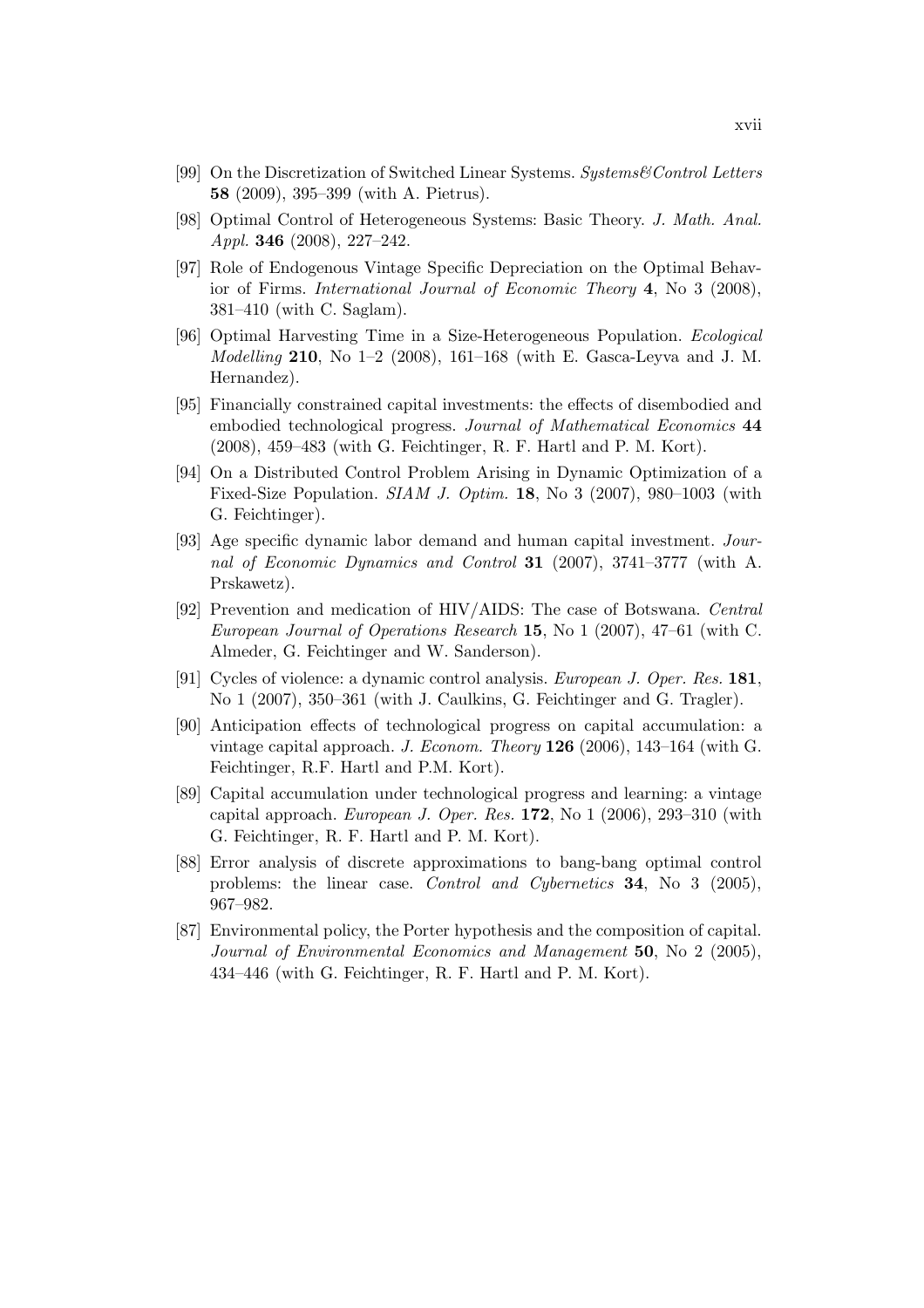- [99] On the Discretization of Switched Linear Systems. Systems&Control Letters 58 (2009), 395–399 (with A. Pietrus).
- [98] Optimal Control of Heterogeneous Systems: Basic Theory. J. Math. Anal. Appl. 346 (2008), 227–242.
- [97] Role of Endogenous Vintage Specific Depreciation on the Optimal Behavior of Firms. International Journal of Economic Theory 4, No 3 (2008), 381–410 (with C. Saglam).
- [96] Optimal Harvesting Time in a Size-Heterogeneous Population. Ecological *Modelling* 210, No  $1-2$  (2008), 161-168 (with E. Gasca-Leyva and J. M. Hernandez).
- [95] Financially constrained capital investments: the effects of disembodied and embodied technological progress. Journal of Mathematical Economics 44 (2008), 459–483 (with G. Feichtinger, R. F. Hartl and P. M. Kort).
- [94] On a Distributed Control Problem Arising in Dynamic Optimization of a Fixed-Size Population.  $SIAM$  J. Optim. 18, No 3 (2007), 980–1003 (with G. Feichtinger).
- [93] Age specific dynamic labor demand and human capital investment. Journal of Economic Dynamics and Control 31 (2007), 3741–3777 (with A. Prskawetz).
- [92] Prevention and medication of HIV/AIDS: The case of Botswana. Central European Journal of Operations Research 15, No 1 (2007), 47–61 (with C. Almeder, G. Feichtinger and W. Sanderson).
- [91] Cycles of violence: a dynamic control analysis. European J. Oper. Res. 181, No 1 (2007), 350–361 (with J. Caulkins, G. Feichtinger and G. Tragler).
- [90] Anticipation effects of technological progress on capital accumulation: a vintage capital approach. J. Econom. Theory 126 (2006), 143–164 (with G. Feichtinger, R.F. Hartl and P.M. Kort).
- [89] Capital accumulation under technological progress and learning: a vintage capital approach. European J. Oper. Res. 172, No 1 (2006), 293–310 (with G. Feichtinger, R. F. Hartl and P. M. Kort).
- [88] Error analysis of discrete approximations to bang-bang optimal control problems: the linear case. Control and Cybernetics 34, No 3 (2005), 967–982.
- [87] Environmental policy, the Porter hypothesis and the composition of capital. Journal of Environmental Economics and Management 50, No 2 (2005), 434–446 (with G. Feichtinger, R. F. Hartl and P. M. Kort).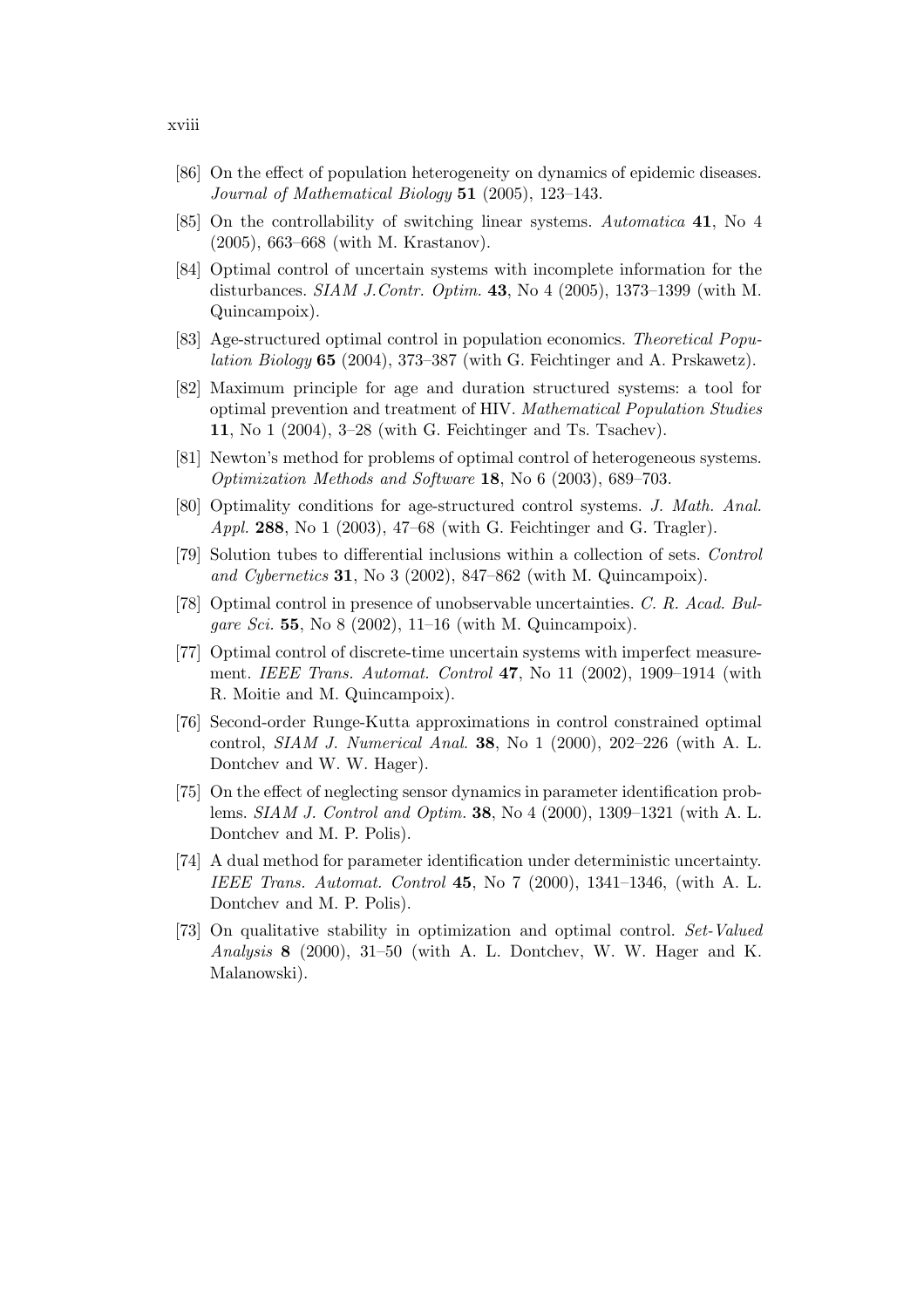- [86] On the effect of population heterogeneity on dynamics of epidemic diseases. Journal of Mathematical Biology  $51$  (2005), 123-143.
- [85] On the controllability of switching linear systems. Automatica 41, No 4 (2005), 663–668 (with M. Krastanov).
- [84] Optimal control of uncertain systems with incomplete information for the disturbances. *SIAM J.Contr. Optim.* **43**, No 4 (2005), 1373-1399 (with M. Quincampoix).
- [83] Age-structured optimal control in population economics. Theoretical Popu*lation Biology* 65 (2004), 373–387 (with G. Feichtinger and A. Prskawetz).
- [82] Maximum principle for age and duration structured systems: a tool for optimal prevention and treatment of HIV. Mathematical Population Studies 11, No 1 (2004), 3–28 (with G. Feichtinger and Ts. Tsachev).
- [81] Newton's method for problems of optimal control of heterogeneous systems. Optimization Methods and Software 18, No 6 (2003), 689–703.
- [80] Optimality conditions for age-structured control systems. J. Math. Anal. Appl. 288, No 1 (2003), 47–68 (with G. Feichtinger and G. Tragler).
- [79] Solution tubes to differential inclusions within a collection of sets. Control and Cybernetics 31, No 3 (2002), 847–862 (with M. Quincampoix).
- [78] Optimal control in presence of unobservable uncertainties. C. R. Acad. Bul*gare Sci.* **55**, No 8 (2002), 11–16 (with M. Quincampoix).
- [77] Optimal control of discrete-time uncertain systems with imperfect measurement. IEEE Trans. Automat. Control 47, No 11 (2002), 1909–1914 (with R. Moitie and M. Quincampoix).
- [76] Second-order Runge-Kutta approximations in control constrained optimal control, *SIAM J. Numerical Anal.* **38**, No 1 (2000),  $202-226$  (with A. L. Dontchev and W. W. Hager).
- [75] On the effect of neglecting sensor dynamics in parameter identification problems. SIAM J. Control and Optim. 38, No 4 (2000), 1309–1321 (with A. L. Dontchev and M. P. Polis).
- [74] A dual method for parameter identification under deterministic uncertainty. IEEE Trans. Automat. Control 45, No 7 (2000), 1341–1346, (with A. L. Dontchev and M. P. Polis).
- [73] On qualitative stability in optimization and optimal control. Set-Valued Analysis 8 (2000), 31–50 (with A. L. Dontchev, W. W. Hager and K. Malanowski).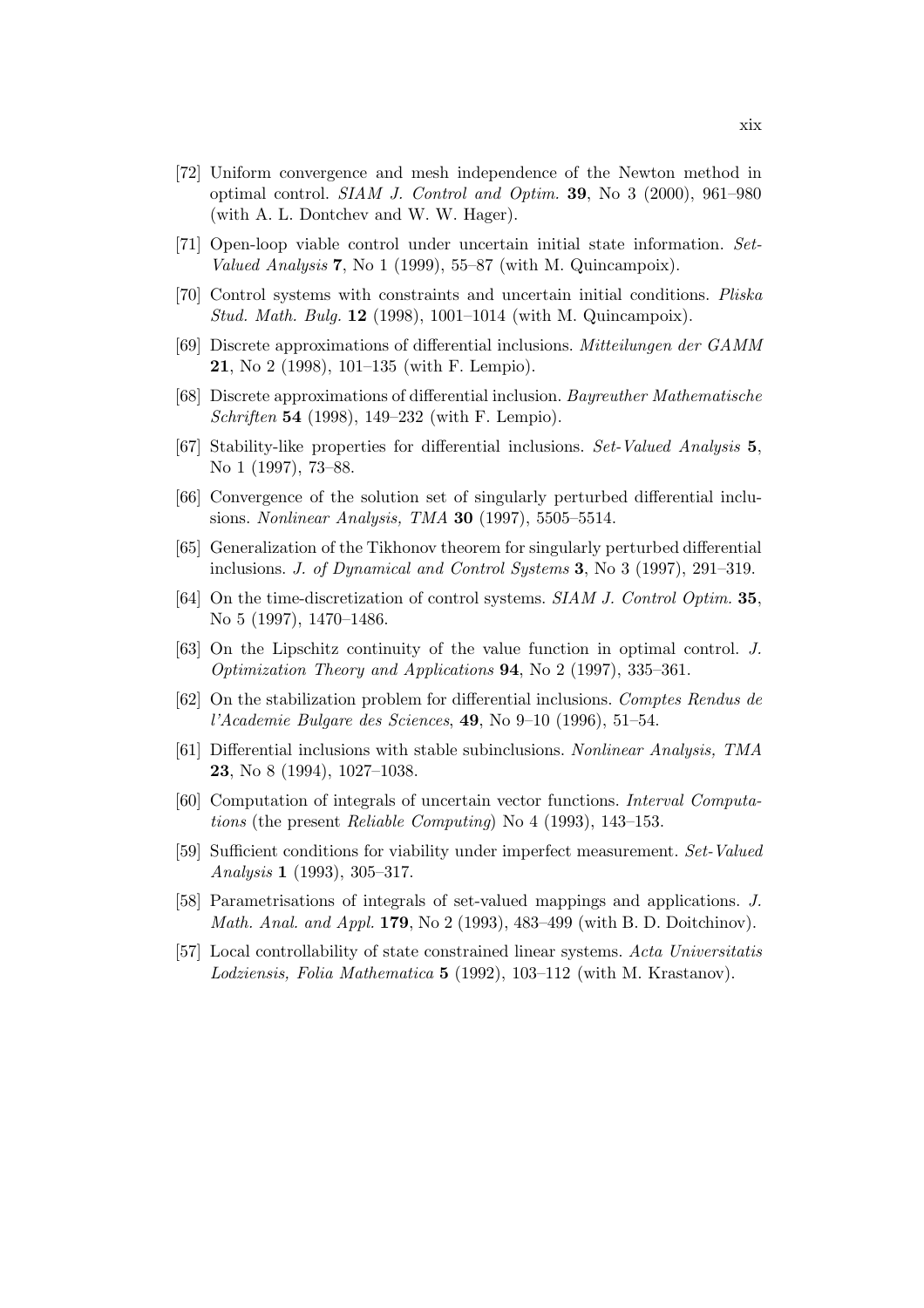- [72] Uniform convergence and mesh independence of the Newton method in optimal control. SIAM J. Control and Optim. 39, No 3 (2000), 961–980 (with A. L. Dontchev and W. W. Hager).
- [71] Open-loop viable control under uncertain initial state information. Set-Valued Analysis 7, No 1 (1999), 55–87 (with M. Quincampoix).
- [70] Control systems with constraints and uncertain initial conditions. Pliska Stud. Math. Bulg. 12 (1998), 1001–1014 (with M. Quincampoix).
- [69] Discrete approximations of differential inclusions. Mitteilungen der GAMM 21, No 2 (1998), 101–135 (with F. Lempio).
- [68] Discrete approximations of differential inclusion. Bayreuther Mathematische Schriften 54 (1998), 149–232 (with F. Lempio).
- [67] Stability-like properties for differential inclusions. Set-Valued Analysis 5, No 1 (1997), 73–88.
- [66] Convergence of the solution set of singularly perturbed differential inclusions. Nonlinear Analysis, TMA 30 (1997), 5505–5514.
- [65] Generalization of the Tikhonov theorem for singularly perturbed differential inclusions. J. of Dynamical and Control Systems 3, No 3 (1997), 291–319.
- [64] On the time-discretization of control systems. SIAM J. Control Optim. 35, No 5 (1997), 1470–1486.
- [63] On the Lipschitz continuity of the value function in optimal control. J. Optimization Theory and Applications 94, No 2 (1997), 335–361.
- [62] On the stabilization problem for differential inclusions. Comptes Rendus de l'Academie Bulgare des Sciences, 49, No 9–10 (1996), 51–54.
- [61] Differential inclusions with stable subinclusions. Nonlinear Analysis, TMA 23, No 8 (1994), 1027–1038.
- [60] Computation of integrals of uncertain vector functions. Interval Computations (the present Reliable Computing) No 4 (1993), 143–153.
- [59] Sufficient conditions for viability under imperfect measurement. Set-Valued Analysis 1 (1993), 305–317.
- [58] Parametrisations of integrals of set-valued mappings and applications. J. Math. Anal. and Appl. 179, No 2 (1993), 483–499 (with B. D. Doitchinov).
- [57] Local controllability of state constrained linear systems. Acta Universitatis Lodziensis, Folia Mathematica 5 (1992), 103–112 (with M. Krastanov).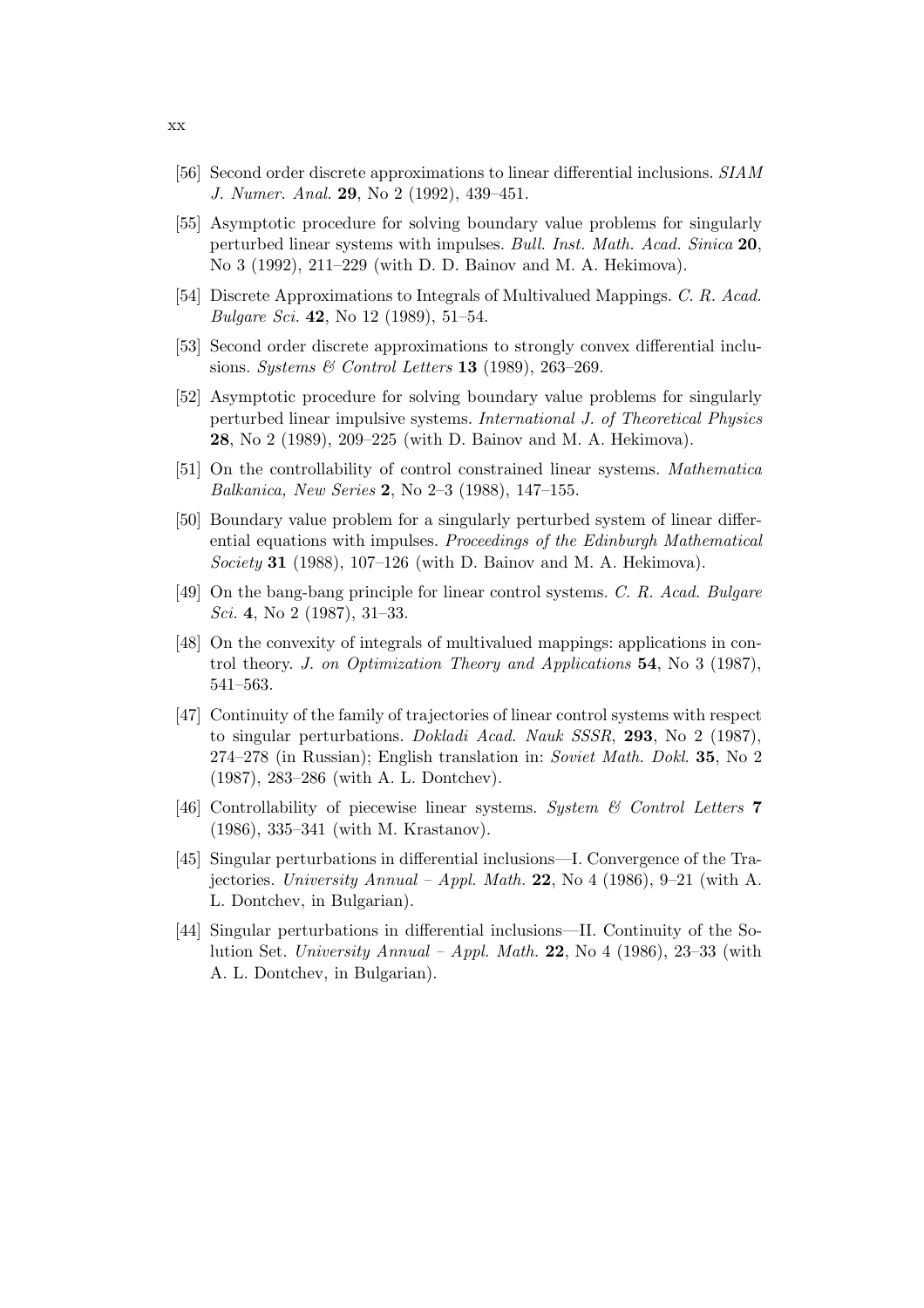- [56] Second order discrete approximations to linear differential inclusions. SIAM J. Numer. Anal. 29, No 2 (1992), 439–451.
- [55] Asymptotic procedure for solving boundary value problems for singularly perturbed linear systems with impulses. Bull. Inst. Math. Acad. Sinica 20, No 3 (1992), 211–229 (with D. D. Bainov and M. A. Hekimova).
- [54] Discrete Approximations to Integrals of Multivalued Mappings. C. R. Acad. *Bulgare Sci.* 42, No 12 (1989), 51–54.
- [53] Second order discrete approximations to strongly convex differential inclusions. Systems & Control Letters 13 (1989), 263-269.
- [52] Asymptotic procedure for solving boundary value problems for singularly perturbed linear impulsive systems. International J. of Theoretical Physics 28, No 2 (1989), 209–225 (with D. Bainov and M. A. Hekimova).
- [51] On the controllability of control constrained linear systems. Mathematica Balkanica, New Series 2, No 2–3 (1988), 147–155.
- [50] Boundary value problem for a singularly perturbed system of linear differential equations with impulses. Proceedings of the Edinburgh Mathematical Society 31 (1988), 107–126 (with D. Bainov and M. A. Hekimova).
- [49] On the bang-bang principle for linear control systems. C. R. Acad. Bulgare Sci. 4, No 2 (1987), 31–33.
- [48] On the convexity of integrals of multivalued mappings: applications in control theory. J. on Optimization Theory and Applications 54, No 3 (1987), 541–563.
- [47] Continuity of the family of trajectories of linear control systems with respect to singular perturbations. Dokladi Acad. Nauk SSSR, 293, No 2 (1987), 274–278 (in Russian); English translation in: Soviet Math. Dokl. 35, No 2 (1987), 283–286 (with A. L. Dontchev).
- [46] Controllability of piecewise linear systems. System  $\mathcal B$  Control Letters 7 (1986), 335–341 (with M. Krastanov).
- [45] Singular perturbations in differential inclusions—I. Convergence of the Trajectories. University Annual – Appl. Math. 22, No 4 (1986), 9–21 (with A. L. Dontchev, in Bulgarian).
- [44] Singular perturbations in differential inclusions—II. Continuity of the Solution Set. University Annual – Appl. Math. 22, No 4 (1986), 23–33 (with A. L. Dontchev, in Bulgarian).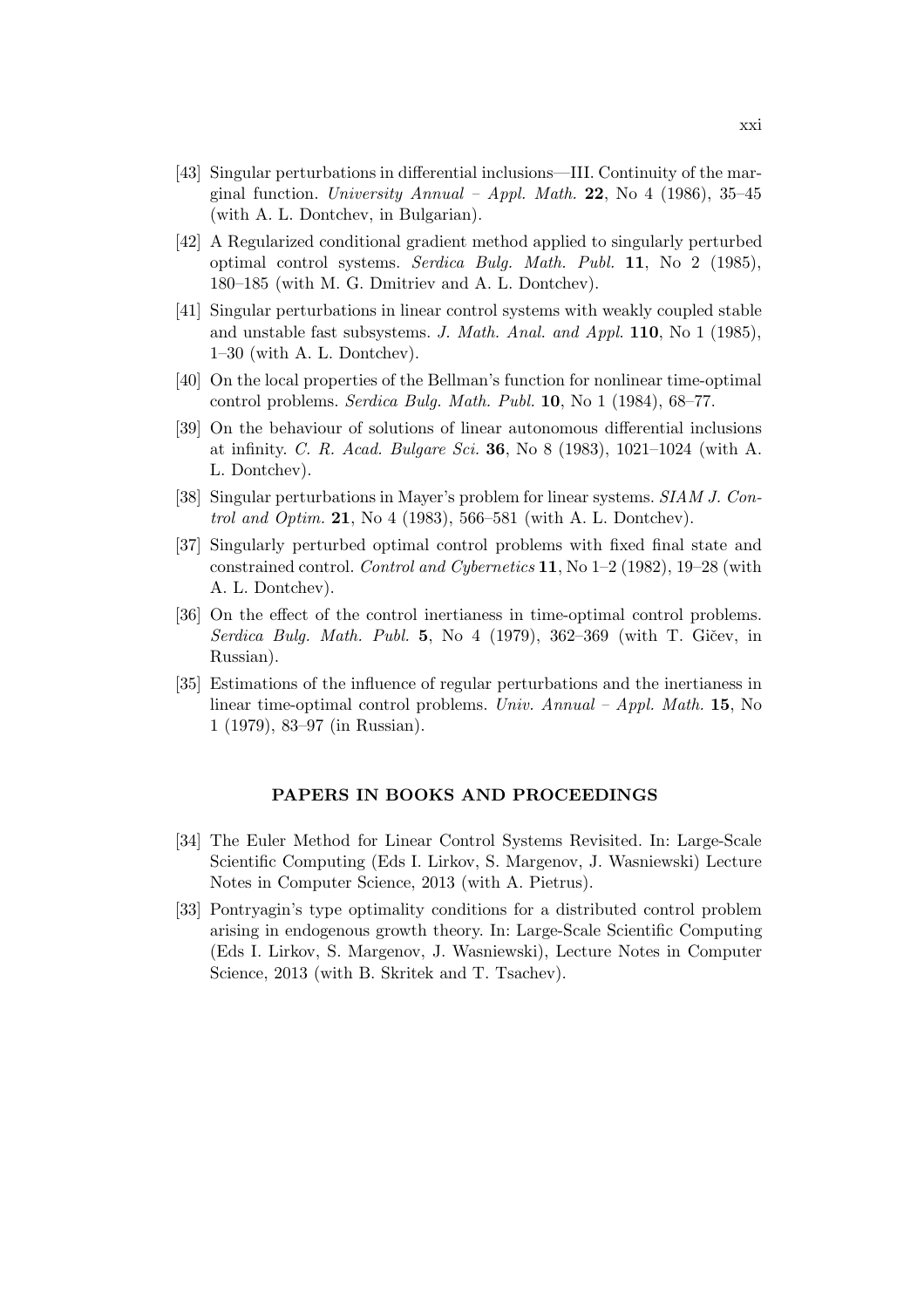- [43] Singular perturbations in differential inclusions—III. Continuity of the marginal function. University Annual – Appl. Math. 22, No 4 (1986), 35–45 (with A. L. Dontchev, in Bulgarian).
- [42] A Regularized conditional gradient method applied to singularly perturbed optimal control systems. Serdica Bulg. Math. Publ. 11, No 2 (1985), 180–185 (with M. G. Dmitriev and A. L. Dontchev).
- [41] Singular perturbations in linear control systems with weakly coupled stable and unstable fast subsystems. J. Math. Anal. and Appl. 110, No 1 (1985), 1–30 (with A. L. Dontchev).
- [40] On the local properties of the Bellman's function for nonlinear time-optimal control problems. Serdica Bulg. Math. Publ. 10, No 1 (1984), 68–77.
- [39] On the behaviour of solutions of linear autonomous differential inclusions at infinity. C. R. Acad. Bulgare Sci. 36, No 8 (1983), 1021–1024 (with A. L. Dontchev).
- [38] Singular perturbations in Mayer's problem for linear systems. SIAM J. Control and Optim. 21, No 4 (1983), 566–581 (with A. L. Dontchev).
- [37] Singularly perturbed optimal control problems with fixed final state and constrained control. Control and Cybernetics 11, No  $1-2$  (1982), 19-28 (with A. L. Dontchev).
- [36] On the effect of the control inertianess in time-optimal control problems. Serdica Bulg. Math. Publ. 5, No 4 (1979), 362–369 (with T. Gicev, in Russian).
- [35] Estimations of the influence of regular perturbations and the inertianess in linear time-optimal control problems. Univ. Annual – Appl. Math. 15, No 1 (1979), 83–97 (in Russian).

#### PAPERS IN BOOKS AND PROCEEDINGS

- [34] The Euler Method for Linear Control Systems Revisited. In: Large-Scale Scientific Computing (Eds I. Lirkov, S. Margenov, J. Wasniewski) Lecture Notes in Computer Science, 2013 (with A. Pietrus).
- [33] Pontryagin's type optimality conditions for a distributed control problem arising in endogenous growth theory. In: Large-Scale Scientific Computing (Eds I. Lirkov, S. Margenov, J. Wasniewski), Lecture Notes in Computer Science, 2013 (with B. Skritek and T. Tsachev).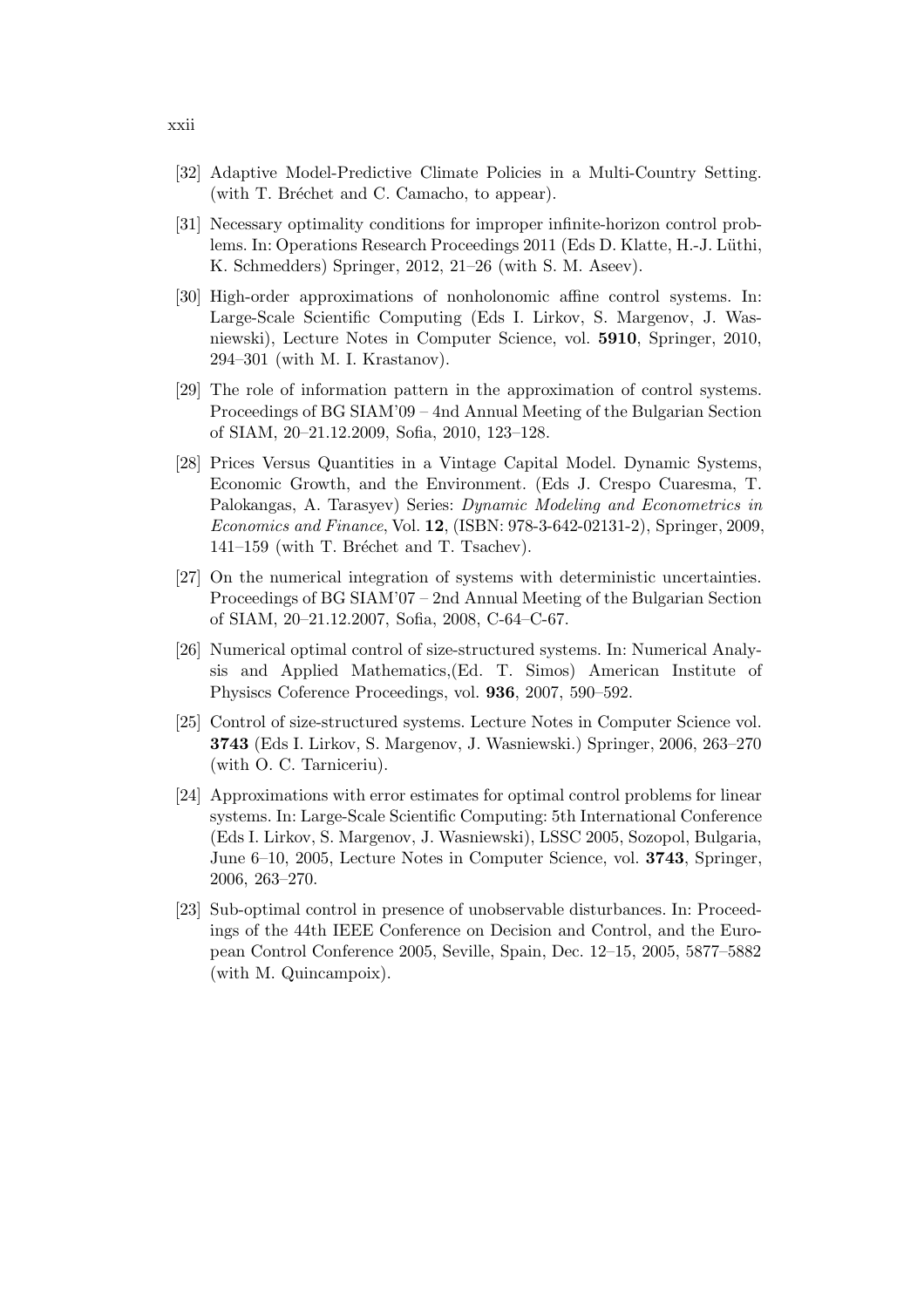- [32] Adaptive Model-Predictive Climate Policies in a Multi-Country Setting. (with T. Bréchet and C. Camacho, to appear).
- [31] Necessary optimality conditions for improper infinite-horizon control problems. In: Operations Research Proceedings 2011 (Eds D. Klatte, H.-J. Lüthi, K. Schmedders) Springer, 2012, 21–26 (with S. M. Aseev).
- [30] High-order approximations of nonholonomic affine control systems. In: Large-Scale Scientific Computing (Eds I. Lirkov, S. Margenov, J. Wasniewski), Lecture Notes in Computer Science, vol. 5910, Springer, 2010, 294–301 (with M. I. Krastanov).
- [29] The role of information pattern in the approximation of control systems. Proceedings of BG SIAM'09 – 4nd Annual Meeting of the Bulgarian Section of SIAM, 20–21.12.2009, Sofia, 2010, 123–128.
- [28] Prices Versus Quantities in a Vintage Capital Model. Dynamic Systems, Economic Growth, and the Environment. (Eds J. Crespo Cuaresma, T. Palokangas, A. Tarasyev) Series: Dynamic Modeling and Econometrics in Economics and Finance, Vol. 12, (ISBN: 978-3-642-02131-2), Springer, 2009,  $141-159$  (with T. Bréchet and T. Tsachev).
- [27] On the numerical integration of systems with deterministic uncertainties. Proceedings of BG SIAM'07 – 2nd Annual Meeting of the Bulgarian Section of SIAM, 20–21.12.2007, Sofia, 2008, C-64–C-67.
- [26] Numerical optimal control of size-structured systems. In: Numerical Analysis and Applied Mathematics,(Ed. T. Simos) American Institute of Physiscs Coference Proceedings, vol. 936, 2007, 590–592.
- [25] Control of size-structured systems. Lecture Notes in Computer Science vol. 3743 (Eds I. Lirkov, S. Margenov, J. Wasniewski.) Springer, 2006, 263–270 (with O. C. Tarniceriu).
- [24] Approximations with error estimates for optimal control problems for linear systems. In: Large-Scale Scientific Computing: 5th International Conference (Eds I. Lirkov, S. Margenov, J. Wasniewski), LSSC 2005, Sozopol, Bulgaria, June 6–10, 2005, Lecture Notes in Computer Science, vol. 3743, Springer, 2006, 263–270.
- [23] Sub-optimal control in presence of unobservable disturbances. In: Proceedings of the 44th IEEE Conference on Decision and Control, and the European Control Conference 2005, Seville, Spain, Dec. 12–15, 2005, 5877–5882 (with M. Quincampoix).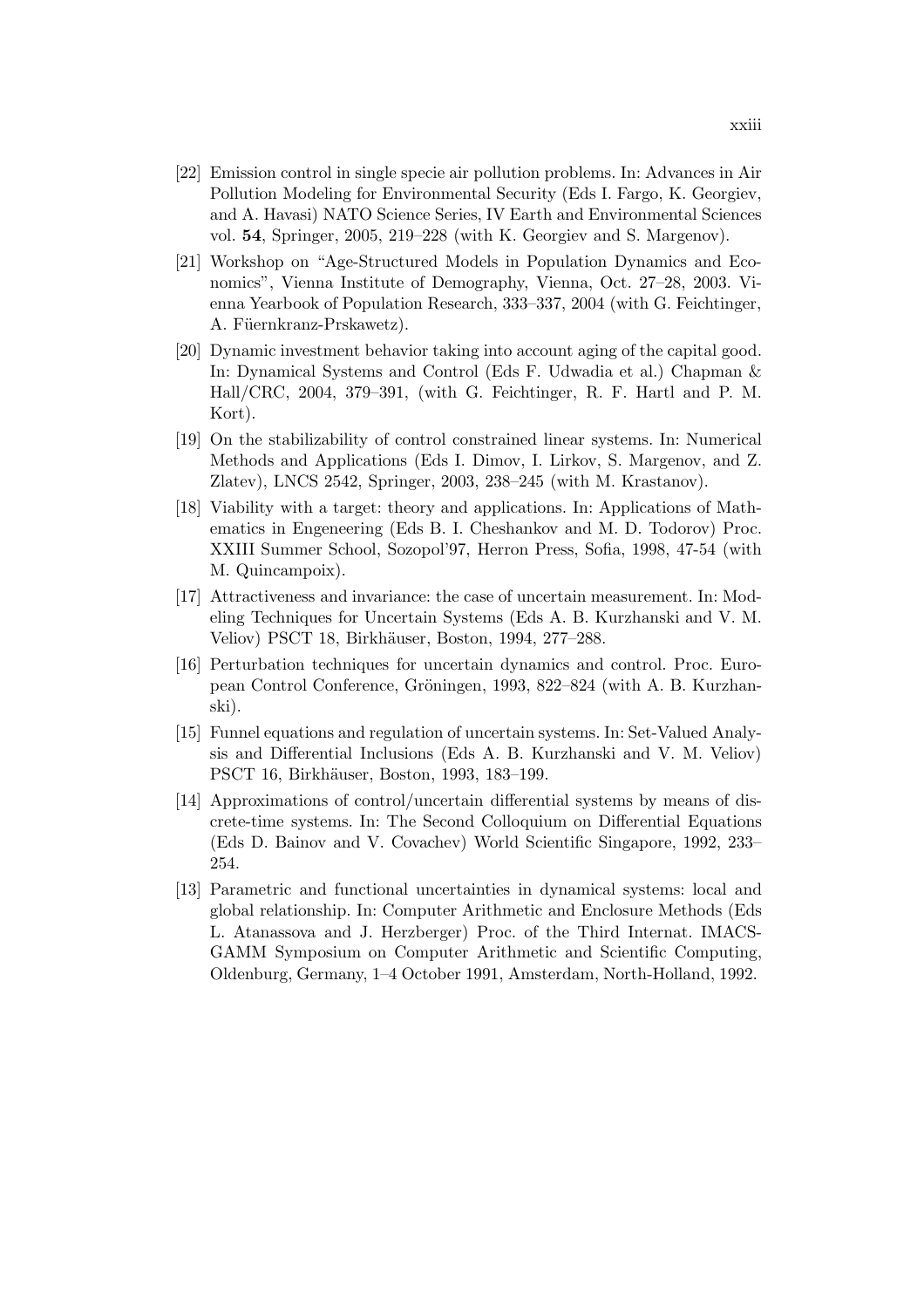- [22] Emission control in single specie air pollution problems. In: Advances in Air Pollution Modeling for Environmental Security (Eds I. Fargo, K. Georgiev, and A. Havasi) NATO Science Series, IV Earth and Environmental Sciences vol. 54, Springer, 2005, 219–228 (with K. Georgiev and S. Margenov).
- [21] Workshop on "Age-Structured Models in Population Dynamics and Economics", Vienna Institute of Demography, Vienna, Oct. 27–28, 2003. Vienna Yearbook of Population Research, 333–337, 2004 (with G. Feichtinger, A. Füernkranz-Prskawetz).
- [20] Dynamic investment behavior taking into account aging of the capital good. In: Dynamical Systems and Control (Eds F. Udwadia et al.) Chapman & Hall/CRC, 2004, 379–391, (with G. Feichtinger, R. F. Hartl and P. M. Kort).
- [19] On the stabilizability of control constrained linear systems. In: Numerical Methods and Applications (Eds I. Dimov, I. Lirkov, S. Margenov, and Z. Zlatev), LNCS 2542, Springer, 2003, 238–245 (with M. Krastanov).
- [18] Viability with a target: theory and applications. In: Applications of Mathematics in Engeneering (Eds B. I. Cheshankov and M. D. Todorov) Proc. XXIII Summer School, Sozopol'97, Herron Press, Sofia, 1998, 47-54 (with M. Quincampoix).
- [17] Attractiveness and invariance: the case of uncertain measurement. In: Modeling Techniques for Uncertain Systems (Eds A. B. Kurzhanski and V. M. Veliov) PSCT 18, Birkhäuser, Boston, 1994, 277–288.
- [16] Perturbation techniques for uncertain dynamics and control. Proc. European Control Conference, Gröningen, 1993, 822–824 (with A. B. Kurzhanski).
- [15] Funnel equations and regulation of uncertain systems. In: Set-Valued Analysis and Differential Inclusions (Eds A. B. Kurzhanski and V. M. Veliov) PSCT 16, Birkhäuser, Boston, 1993, 183–199.
- [14] Approximations of control/uncertain differential systems by means of discrete-time systems. In: The Second Colloquium on Differential Equations (Eds D. Bainov and V. Covachev) World Scientific Singapore, 1992, 233– 254.
- [13] Parametric and functional uncertainties in dynamical systems: local and global relationship. In: Computer Arithmetic and Enclosure Methods (Eds L. Atanassova and J. Herzberger) Proc. of the Third Internat. IMACS-GAMM Symposium on Computer Arithmetic and Scientific Computing, Oldenburg, Germany, 1–4 October 1991, Amsterdam, North-Holland, 1992.